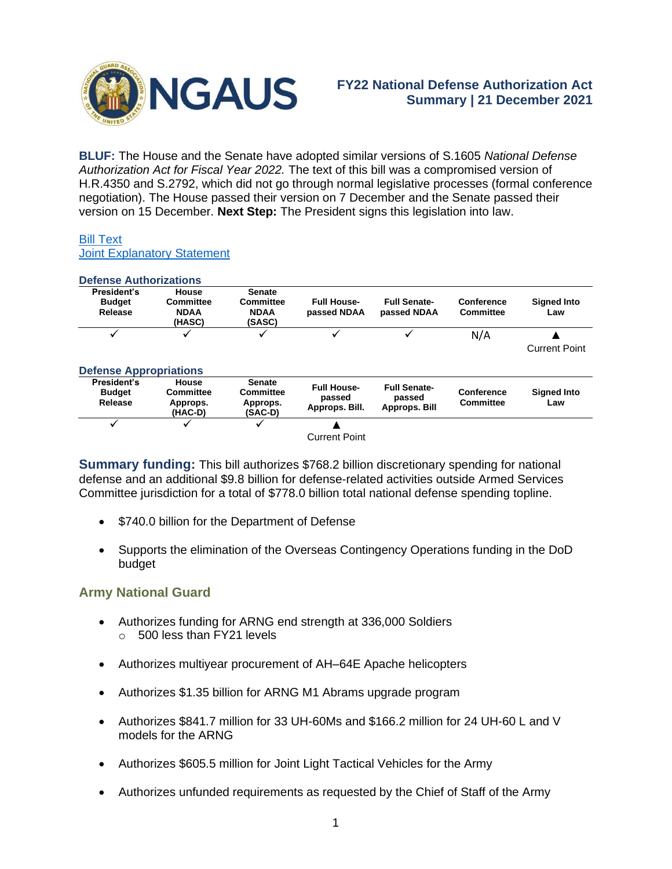

**BLUF:** The House and the Senate have adopted similar versions of S.1605 *National Defense Authorization Act for Fiscal Year 2022.* The text of this bill was a compromised version of H.R.4350 and S.2792, which did not go through normal legislative processes (formal conference negotiation). The House passed their version on 7 December and the Senate passed their version on 15 December. **Next Step:** The President signs this legislation into law.

#### [Bill Text](https://rules.house.gov/sites/democrats.rules.house.gov/files/BILLS-117S1605-RCP117-21.pdf) [Joint Explanatory Statement](https://rules.house.gov/sites/democrats.rules.house.gov/files/17S1605-RCP117-21-JES.pdf)

| <b>Defense Authorizations</b>           |                                                  |                                                            |                                                |                                                |                         |                           |
|-----------------------------------------|--------------------------------------------------|------------------------------------------------------------|------------------------------------------------|------------------------------------------------|-------------------------|---------------------------|
| President's<br><b>Budget</b><br>Release | House<br>Committee<br><b>NDAA</b><br>(HASC)      | <b>Senate</b><br><b>Committee</b><br><b>NDAA</b><br>(SASC) | <b>Full House-</b><br>passed NDAA              | <b>Full Senate-</b><br>passed NDAA             | Conference<br>Committee | <b>Signed Into</b><br>Law |
|                                         | ✓                                                | ✓                                                          |                                                |                                                | N/A                     | <b>Current Point</b>      |
| <b>Defense Appropriations</b>           |                                                  |                                                            |                                                |                                                |                         |                           |
| President's<br><b>Budget</b><br>Release | House<br><b>Committee</b><br>Approps.<br>(HAC-D) | <b>Senate</b><br><b>Committee</b><br>Approps.<br>(SAC-D)   | <b>Full House-</b><br>passed<br>Approps. Bill. | <b>Full Senate-</b><br>passed<br>Approps. Bill | Conference<br>Committee | <b>Signed Into</b><br>Law |
| ✓                                       | ✓                                                | $\checkmark$                                               |                                                |                                                |                         |                           |
|                                         |                                                  |                                                            | <b>Current Point</b>                           |                                                |                         |                           |

**Summary funding:** This bill authorizes \$768.2 billion discretionary spending for national defense and an additional \$9.8 billion for defense-related activities outside Armed Services Committee jurisdiction for a total of \$778.0 billion total national defense spending topline.

- \$740.0 billion for the Department of Defense
- Supports the elimination of the Overseas Contingency Operations funding in the DoD budget

## **Army National Guard**

- Authorizes funding for ARNG end strength at 336,000 Soldiers o 500 less than FY21 levels
- Authorizes multiyear procurement of AH–64E Apache helicopters
- Authorizes \$1.35 billion for ARNG M1 Abrams upgrade program
- Authorizes \$841.7 million for 33 UH-60Ms and \$166.2 million for 24 UH-60 L and V models for the ARNG
- Authorizes \$605.5 million for Joint Light Tactical Vehicles for the Army
- Authorizes unfunded requirements as requested by the Chief of Staff of the Army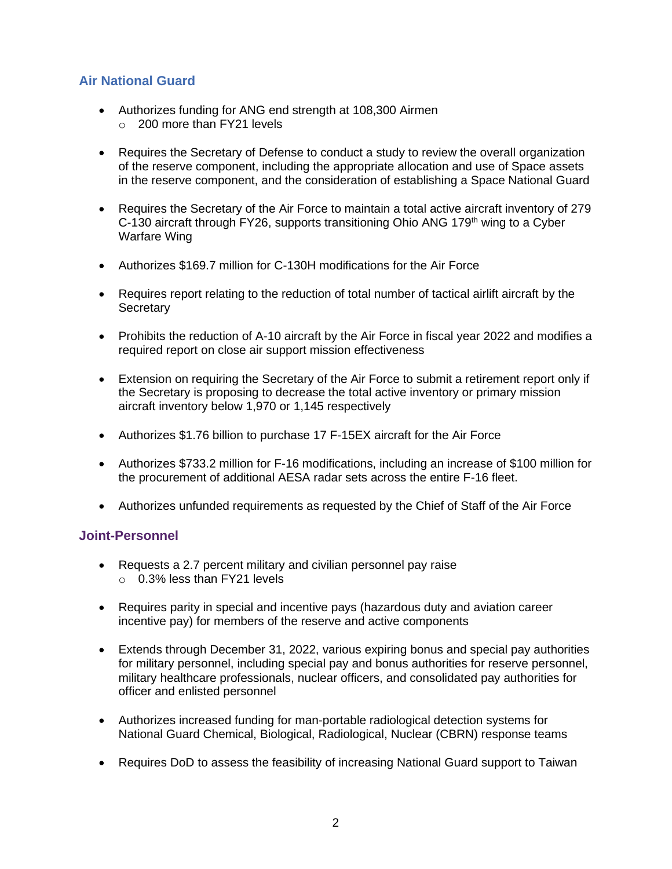## **Air National Guard**

- Authorizes funding for ANG end strength at 108,300 Airmen o 200 more than FY21 levels
- Requires the Secretary of Defense to conduct a study to review the overall organization of the reserve component, including the appropriate allocation and use of Space assets in the reserve component, and the consideration of establishing a Space National Guard
- Requires the Secretary of the Air Force to maintain a total active aircraft inventory of 279 C-130 aircraft through FY26, supports transitioning Ohio ANG 179<sup>th</sup> wing to a Cyber Warfare Wing
- Authorizes \$169.7 million for C-130H modifications for the Air Force
- Requires report relating to the reduction of total number of tactical airlift aircraft by the **Secretary**
- Prohibits the reduction of A-10 aircraft by the Air Force in fiscal year 2022 and modifies a required report on close air support mission effectiveness
- Extension on requiring the Secretary of the Air Force to submit a retirement report only if the Secretary is proposing to decrease the total active inventory or primary mission aircraft inventory below 1,970 or 1,145 respectively
- Authorizes \$1.76 billion to purchase 17 F-15EX aircraft for the Air Force
- Authorizes \$733.2 million for F-16 modifications, including an increase of \$100 million for the procurement of additional AESA radar sets across the entire F-16 fleet.
- Authorizes unfunded requirements as requested by the Chief of Staff of the Air Force

## **Joint-Personnel**

- Requests a 2.7 percent military and civilian personnel pay raise o 0.3% less than FY21 levels
- Requires parity in special and incentive pays (hazardous duty and aviation career incentive pay) for members of the reserve and active components
- Extends through December 31, 2022, various expiring bonus and special pay authorities for military personnel, including special pay and bonus authorities for reserve personnel, military healthcare professionals, nuclear officers, and consolidated pay authorities for officer and enlisted personnel
- Authorizes increased funding for man-portable radiological detection systems for National Guard Chemical, Biological, Radiological, Nuclear (CBRN) response teams
- Requires DoD to assess the feasibility of increasing National Guard support to Taiwan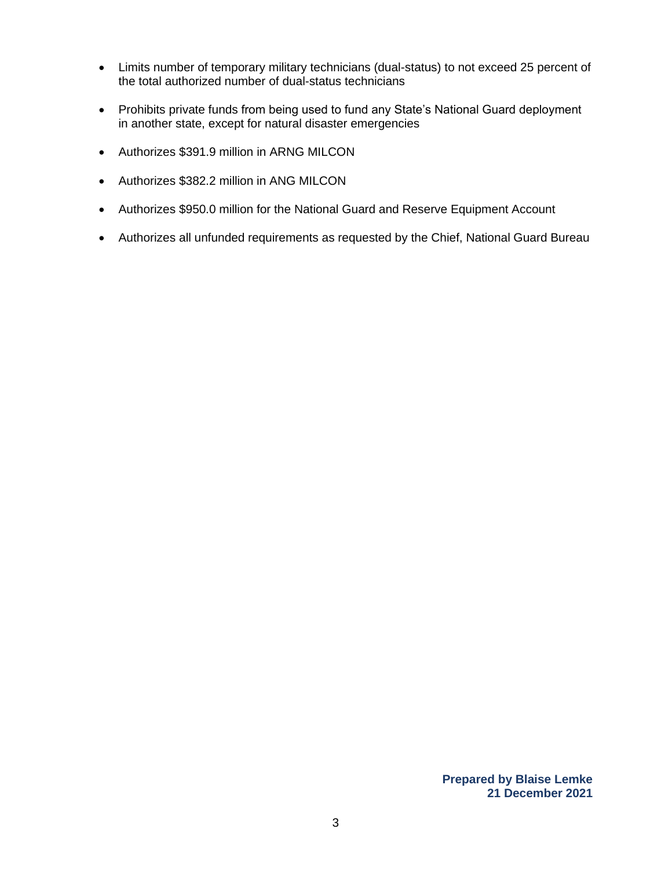- Limits number of temporary military technicians (dual-status) to not exceed 25 percent of the total authorized number of dual-status technicians
- Prohibits private funds from being used to fund any State's National Guard deployment in another state, except for natural disaster emergencies
- Authorizes \$391.9 million in ARNG MILCON
- Authorizes \$382.2 million in ANG MILCON
- Authorizes \$950.0 million for the National Guard and Reserve Equipment Account
- Authorizes all unfunded requirements as requested by the Chief, National Guard Bureau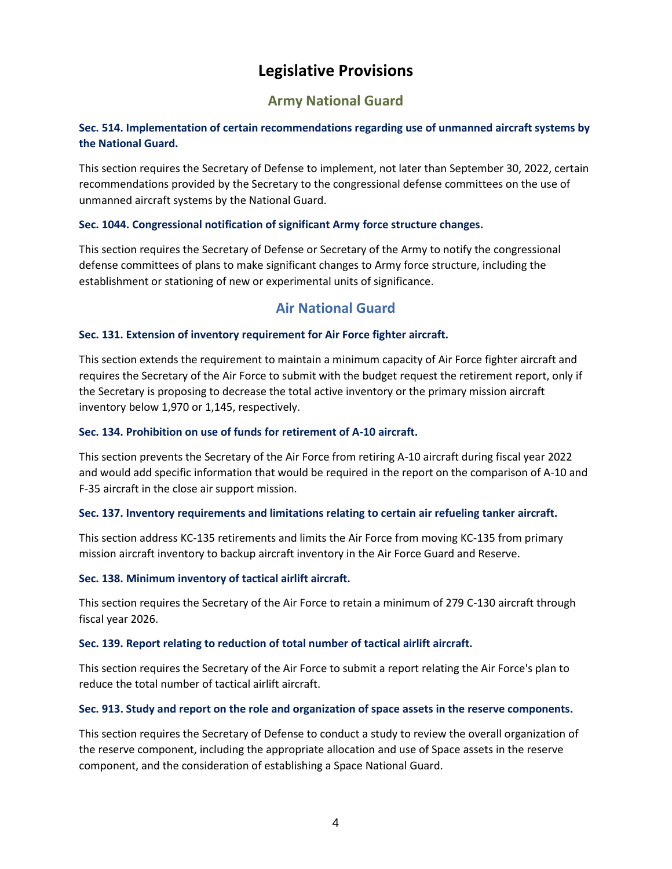# **Legislative Provisions**

# **Army National Guard**

## **Sec. 514. Implementation of certain recommendations regarding use of unmanned aircraft systems by the National Guard.**

This section requires the Secretary of Defense to implement, not later than September 30, 2022, certain recommendations provided by the Secretary to the congressional defense committees on the use of unmanned aircraft systems by the National Guard.

### **Sec. 1044. Congressional notification of significant Army force structure changes.**

This section requires the Secretary of Defense or Secretary of the Army to notify the congressional defense committees of plans to make significant changes to Army force structure, including the establishment or stationing of new or experimental units of significance.

## **Air National Guard**

### **Sec. 131. Extension of inventory requirement for Air Force fighter aircraft.**

This section extends the requirement to maintain a minimum capacity of Air Force fighter aircraft and requires the Secretary of the Air Force to submit with the budget request the retirement report, only if the Secretary is proposing to decrease the total active inventory or the primary mission aircraft inventory below 1,970 or 1,145, respectively.

#### **Sec. 134. Prohibition on use of funds for retirement of A-10 aircraft.**

This section prevents the Secretary of the Air Force from retiring A-10 aircraft during fiscal year 2022 and would add specific information that would be required in the report on the comparison of A-10 and F-35 aircraft in the close air support mission.

#### **Sec. 137. Inventory requirements and limitations relating to certain air refueling tanker aircraft.**

This section address KC-135 retirements and limits the Air Force from moving KC-135 from primary mission aircraft inventory to backup aircraft inventory in the Air Force Guard and Reserve.

#### **Sec. 138. Minimum inventory of tactical airlift aircraft.**

This section requires the Secretary of the Air Force to retain a minimum of 279 C-130 aircraft through fiscal year 2026.

#### **Sec. 139. Report relating to reduction of total number of tactical airlift aircraft.**

This section requires the Secretary of the Air Force to submit a report relating the Air Force's plan to reduce the total number of tactical airlift aircraft.

#### **Sec. 913. Study and report on the role and organization of space assets in the reserve components.**

This section requires the Secretary of Defense to conduct a study to review the overall organization of the reserve component, including the appropriate allocation and use of Space assets in the reserve component, and the consideration of establishing a Space National Guard.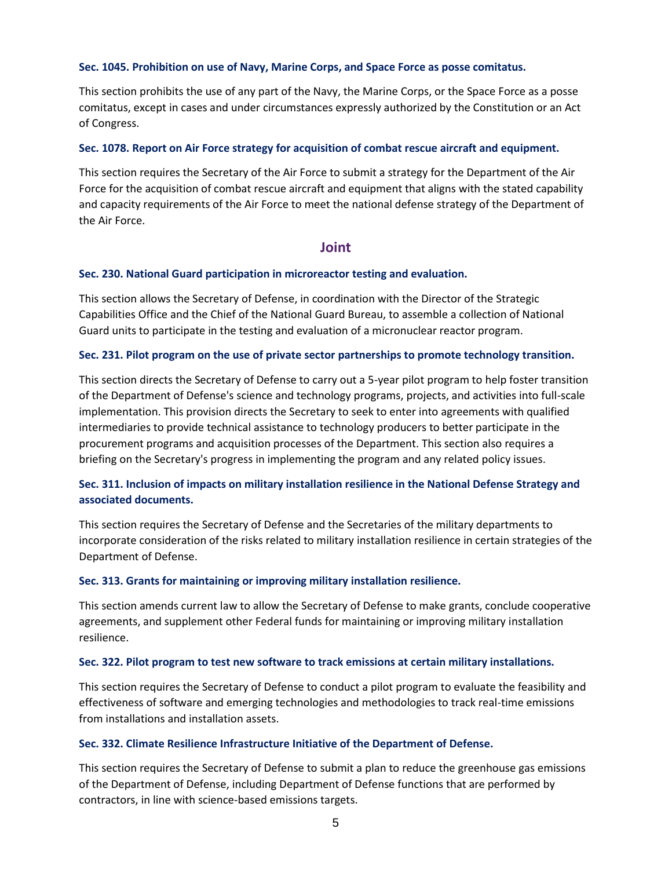#### **Sec. 1045. Prohibition on use of Navy, Marine Corps, and Space Force as posse comitatus.**

This section prohibits the use of any part of the Navy, the Marine Corps, or the Space Force as a posse comitatus, except in cases and under circumstances expressly authorized by the Constitution or an Act of Congress.

#### **Sec. 1078. Report on Air Force strategy for acquisition of combat rescue aircraft and equipment.**

This section requires the Secretary of the Air Force to submit a strategy for the Department of the Air Force for the acquisition of combat rescue aircraft and equipment that aligns with the stated capability and capacity requirements of the Air Force to meet the national defense strategy of the Department of the Air Force.

#### **Joint**

#### **Sec. 230. National Guard participation in microreactor testing and evaluation.**

This section allows the Secretary of Defense, in coordination with the Director of the Strategic Capabilities Office and the Chief of the National Guard Bureau, to assemble a collection of National Guard units to participate in the testing and evaluation of a micronuclear reactor program.

#### **Sec. 231. Pilot program on the use of private sector partnerships to promote technology transition.**

This section directs the Secretary of Defense to carry out a 5-year pilot program to help foster transition of the Department of Defense's science and technology programs, projects, and activities into full-scale implementation. This provision directs the Secretary to seek to enter into agreements with qualified intermediaries to provide technical assistance to technology producers to better participate in the procurement programs and acquisition processes of the Department. This section also requires a briefing on the Secretary's progress in implementing the program and any related policy issues.

## **Sec. 311. Inclusion of impacts on military installation resilience in the National Defense Strategy and associated documents.**

This section requires the Secretary of Defense and the Secretaries of the military departments to incorporate consideration of the risks related to military installation resilience in certain strategies of the Department of Defense.

#### **Sec. 313. Grants for maintaining or improving military installation resilience.**

This section amends current law to allow the Secretary of Defense to make grants, conclude cooperative agreements, and supplement other Federal funds for maintaining or improving military installation resilience.

#### **Sec. 322. Pilot program to test new software to track emissions at certain military installations.**

This section requires the Secretary of Defense to conduct a pilot program to evaluate the feasibility and effectiveness of software and emerging technologies and methodologies to track real-time emissions from installations and installation assets.

#### **Sec. 332. Climate Resilience Infrastructure Initiative of the Department of Defense.**

This section requires the Secretary of Defense to submit a plan to reduce the greenhouse gas emissions of the Department of Defense, including Department of Defense functions that are performed by contractors, in line with science-based emissions targets.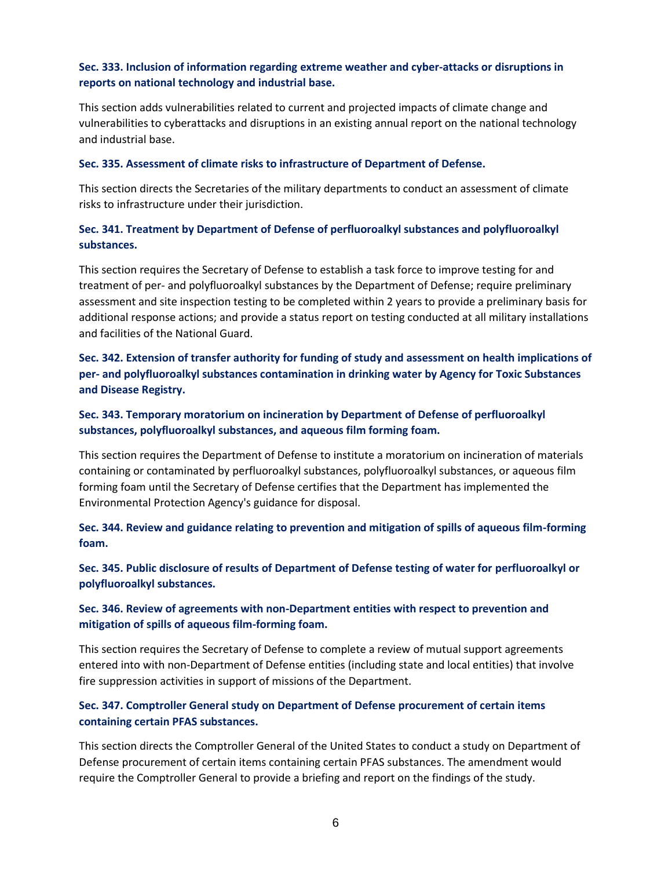## **Sec. 333. Inclusion of information regarding extreme weather and cyber-attacks or disruptions in reports on national technology and industrial base.**

This section adds vulnerabilities related to current and projected impacts of climate change and vulnerabilities to cyberattacks and disruptions in an existing annual report on the national technology and industrial base.

#### **Sec. 335. Assessment of climate risks to infrastructure of Department of Defense.**

This section directs the Secretaries of the military departments to conduct an assessment of climate risks to infrastructure under their jurisdiction.

## **Sec. 341. Treatment by Department of Defense of perfluoroalkyl substances and polyfluoroalkyl substances.**

This section requires the Secretary of Defense to establish a task force to improve testing for and treatment of per- and polyfluoroalkyl substances by the Department of Defense; require preliminary assessment and site inspection testing to be completed within 2 years to provide a preliminary basis for additional response actions; and provide a status report on testing conducted at all military installations and facilities of the National Guard.

**Sec. 342. Extension of transfer authority for funding of study and assessment on health implications of per- and polyfluoroalkyl substances contamination in drinking water by Agency for Toxic Substances and Disease Registry.**

## **Sec. 343. Temporary moratorium on incineration by Department of Defense of perfluoroalkyl substances, polyfluoroalkyl substances, and aqueous film forming foam.**

This section requires the Department of Defense to institute a moratorium on incineration of materials containing or contaminated by perfluoroalkyl substances, polyfluoroalkyl substances, or aqueous film forming foam until the Secretary of Defense certifies that the Department has implemented the Environmental Protection Agency's guidance for disposal.

**Sec. 344. Review and guidance relating to prevention and mitigation of spills of aqueous film-forming foam.**

**Sec. 345. Public disclosure of results of Department of Defense testing of water for perfluoroalkyl or polyfluoroalkyl substances.**

## **Sec. 346. Review of agreements with non-Department entities with respect to prevention and mitigation of spills of aqueous film-forming foam.**

This section requires the Secretary of Defense to complete a review of mutual support agreements entered into with non-Department of Defense entities (including state and local entities) that involve fire suppression activities in support of missions of the Department.

## **Sec. 347. Comptroller General study on Department of Defense procurement of certain items containing certain PFAS substances.**

This section directs the Comptroller General of the United States to conduct a study on Department of Defense procurement of certain items containing certain PFAS substances. The amendment would require the Comptroller General to provide a briefing and report on the findings of the study.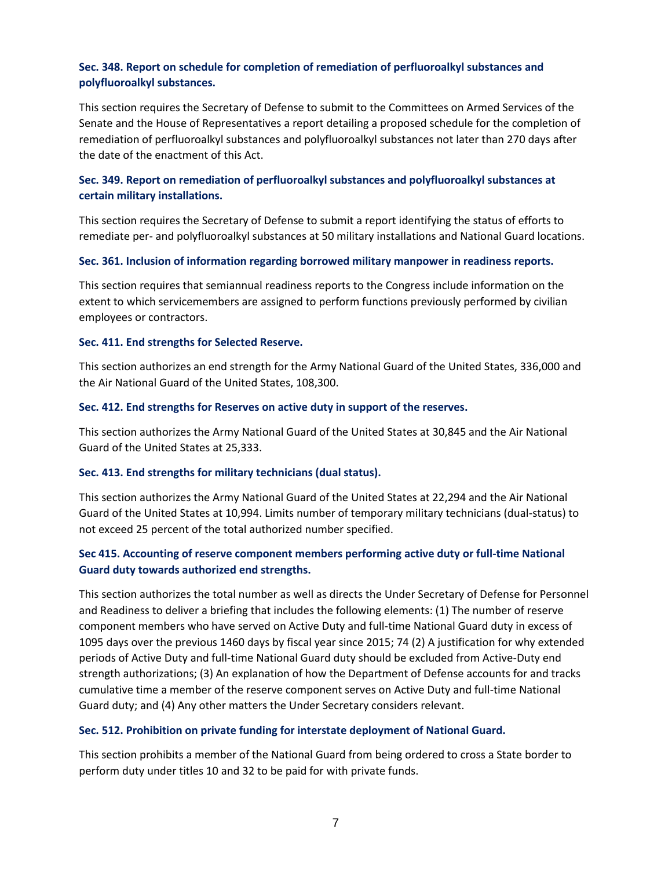## **Sec. 348. Report on schedule for completion of remediation of perfluoroalkyl substances and polyfluoroalkyl substances.**

This section requires the Secretary of Defense to submit to the Committees on Armed Services of the Senate and the House of Representatives a report detailing a proposed schedule for the completion of remediation of perfluoroalkyl substances and polyfluoroalkyl substances not later than 270 days after the date of the enactment of this Act.

## **Sec. 349. Report on remediation of perfluoroalkyl substances and polyfluoroalkyl substances at certain military installations.**

This section requires the Secretary of Defense to submit a report identifying the status of efforts to remediate per- and polyfluoroalkyl substances at 50 military installations and National Guard locations.

#### **Sec. 361. Inclusion of information regarding borrowed military manpower in readiness reports.**

This section requires that semiannual readiness reports to the Congress include information on the extent to which servicemembers are assigned to perform functions previously performed by civilian employees or contractors.

#### **Sec. 411. End strengths for Selected Reserve.**

This section authorizes an end strength for the Army National Guard of the United States, 336,000 and the Air National Guard of the United States, 108,300.

#### **Sec. 412. End strengths for Reserves on active duty in support of the reserves.**

This section authorizes the Army National Guard of the United States at 30,845 and the Air National Guard of the United States at 25,333.

#### **Sec. 413. End strengths for military technicians (dual status).**

This section authorizes the Army National Guard of the United States at 22,294 and the Air National Guard of the United States at 10,994. Limits number of temporary military technicians (dual-status) to not exceed 25 percent of the total authorized number specified.

### **Sec 415. Accounting of reserve component members performing active duty or full-time National Guard duty towards authorized end strengths.**

This section authorizes the total number as well as directs the Under Secretary of Defense for Personnel and Readiness to deliver a briefing that includes the following elements: (1) The number of reserve component members who have served on Active Duty and full-time National Guard duty in excess of 1095 days over the previous 1460 days by fiscal year since 2015; 74 (2) A justification for why extended periods of Active Duty and full-time National Guard duty should be excluded from Active-Duty end strength authorizations; (3) An explanation of how the Department of Defense accounts for and tracks cumulative time a member of the reserve component serves on Active Duty and full-time National Guard duty; and (4) Any other matters the Under Secretary considers relevant.

#### **Sec. 512. Prohibition on private funding for interstate deployment of National Guard.**

This section prohibits a member of the National Guard from being ordered to cross a State border to perform duty under titles 10 and 32 to be paid for with private funds.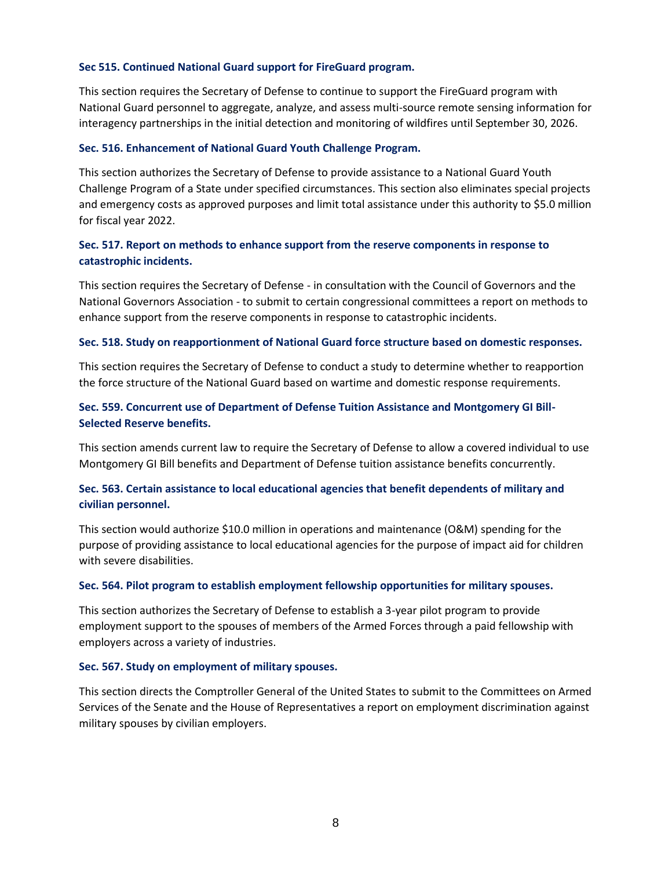#### **Sec 515. Continued National Guard support for FireGuard program.**

This section requires the Secretary of Defense to continue to support the FireGuard program with National Guard personnel to aggregate, analyze, and assess multi-source remote sensing information for interagency partnerships in the initial detection and monitoring of wildfires until September 30, 2026.

#### **Sec. 516. Enhancement of National Guard Youth Challenge Program.**

This section authorizes the Secretary of Defense to provide assistance to a National Guard Youth Challenge Program of a State under specified circumstances. This section also eliminates special projects and emergency costs as approved purposes and limit total assistance under this authority to \$5.0 million for fiscal year 2022.

## **Sec. 517. Report on methods to enhance support from the reserve components in response to catastrophic incidents.**

This section requires the Secretary of Defense - in consultation with the Council of Governors and the National Governors Association - to submit to certain congressional committees a report on methods to enhance support from the reserve components in response to catastrophic incidents.

#### **Sec. 518. Study on reapportionment of National Guard force structure based on domestic responses.**

This section requires the Secretary of Defense to conduct a study to determine whether to reapportion the force structure of the National Guard based on wartime and domestic response requirements.

## **Sec. 559. Concurrent use of Department of Defense Tuition Assistance and Montgomery GI Bill-Selected Reserve benefits.**

This section amends current law to require the Secretary of Defense to allow a covered individual to use Montgomery GI Bill benefits and Department of Defense tuition assistance benefits concurrently.

## **Sec. 563. Certain assistance to local educational agencies that benefit dependents of military and civilian personnel.**

This section would authorize \$10.0 million in operations and maintenance (O&M) spending for the purpose of providing assistance to local educational agencies for the purpose of impact aid for children with severe disabilities.

#### **Sec. 564. Pilot program to establish employment fellowship opportunities for military spouses.**

This section authorizes the Secretary of Defense to establish a 3-year pilot program to provide employment support to the spouses of members of the Armed Forces through a paid fellowship with employers across a variety of industries.

#### **Sec. 567. Study on employment of military spouses.**

This section directs the Comptroller General of the United States to submit to the Committees on Armed Services of the Senate and the House of Representatives a report on employment discrimination against military spouses by civilian employers.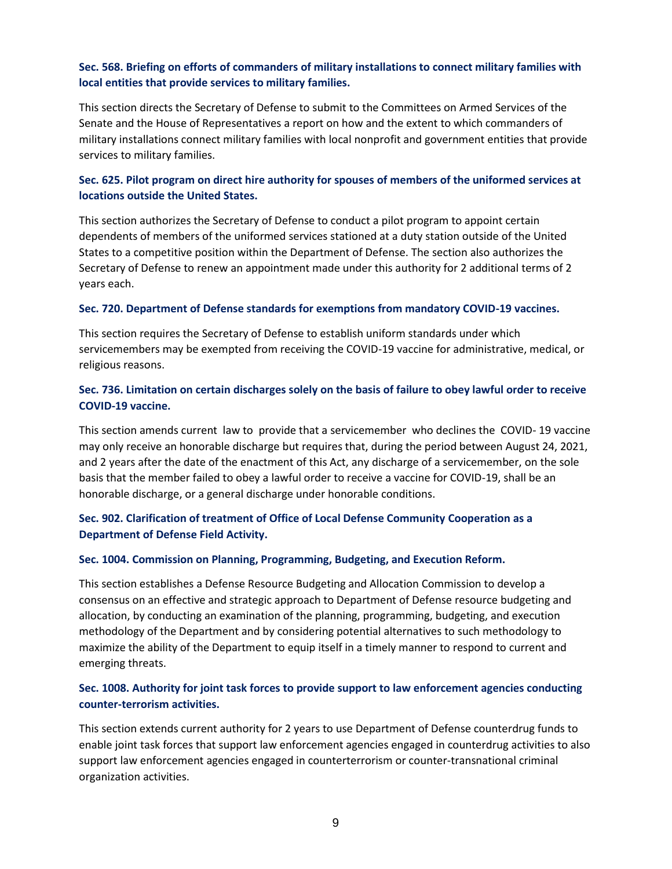## **Sec. 568. Briefing on efforts of commanders of military installations to connect military families with local entities that provide services to military families.**

This section directs the Secretary of Defense to submit to the Committees on Armed Services of the Senate and the House of Representatives a report on how and the extent to which commanders of military installations connect military families with local nonprofit and government entities that provide services to military families.

## **Sec. 625. Pilot program on direct hire authority for spouses of members of the uniformed services at locations outside the United States.**

This section authorizes the Secretary of Defense to conduct a pilot program to appoint certain dependents of members of the uniformed services stationed at a duty station outside of the United States to a competitive position within the Department of Defense. The section also authorizes the Secretary of Defense to renew an appointment made under this authority for 2 additional terms of 2 years each.

#### **Sec. 720. Department of Defense standards for exemptions from mandatory COVID-19 vaccines.**

This section requires the Secretary of Defense to establish uniform standards under which servicemembers may be exempted from receiving the COVID-19 vaccine for administrative, medical, or religious reasons.

## **Sec. 736. Limitation on certain discharges solely on the basis of failure to obey lawful order to receive COVID-19 vaccine.**

This section amends current law to provide that a servicemember who declines the COVID- 19 vaccine may only receive an honorable discharge but requires that, during the period between August 24, 2021, and 2 years after the date of the enactment of this Act, any discharge of a servicemember, on the sole basis that the member failed to obey a lawful order to receive a vaccine for COVID-19, shall be an honorable discharge, or a general discharge under honorable conditions.

## **Sec. 902. Clarification of treatment of Office of Local Defense Community Cooperation as a Department of Defense Field Activity.**

#### **Sec. 1004. Commission on Planning, Programming, Budgeting, and Execution Reform.**

This section establishes a Defense Resource Budgeting and Allocation Commission to develop a consensus on an effective and strategic approach to Department of Defense resource budgeting and allocation, by conducting an examination of the planning, programming, budgeting, and execution methodology of the Department and by considering potential alternatives to such methodology to maximize the ability of the Department to equip itself in a timely manner to respond to current and emerging threats.

## **Sec. 1008. Authority for joint task forces to provide support to law enforcement agencies conducting counter-terrorism activities.**

This section extends current authority for 2 years to use Department of Defense counterdrug funds to enable joint task forces that support law enforcement agencies engaged in counterdrug activities to also support law enforcement agencies engaged in counterterrorism or counter-transnational criminal organization activities.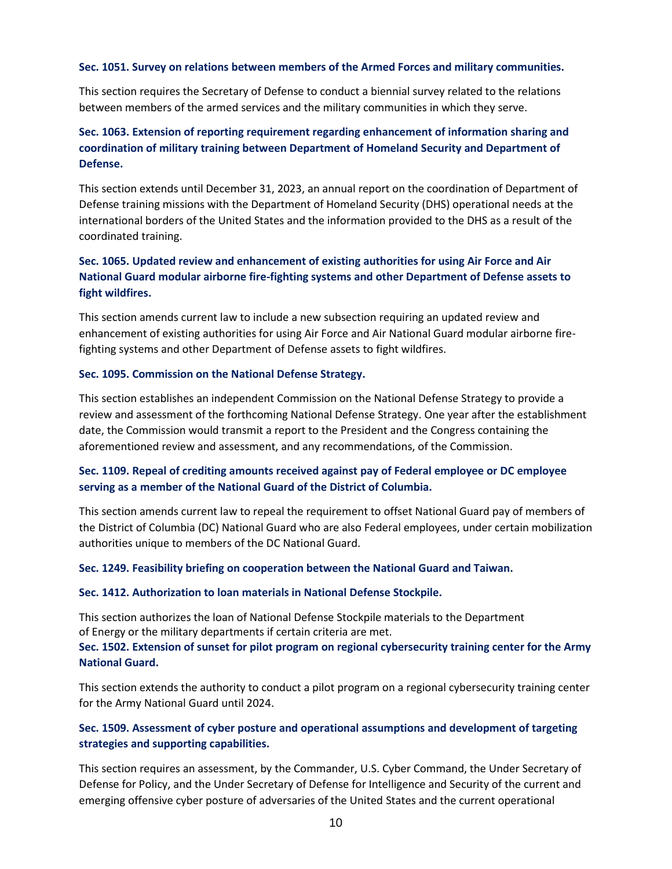#### **Sec. 1051. Survey on relations between members of the Armed Forces and military communities.**

This section requires the Secretary of Defense to conduct a biennial survey related to the relations between members of the armed services and the military communities in which they serve.

## **Sec. 1063. Extension of reporting requirement regarding enhancement of information sharing and coordination of military training between Department of Homeland Security and Department of Defense.**

This section extends until December 31, 2023, an annual report on the coordination of Department of Defense training missions with the Department of Homeland Security (DHS) operational needs at the international borders of the United States and the information provided to the DHS as a result of the coordinated training.

## **Sec. 1065. Updated review and enhancement of existing authorities for using Air Force and Air National Guard modular airborne fire-fighting systems and other Department of Defense assets to fight wildfires.**

This section amends current law to include a new subsection requiring an updated review and enhancement of existing authorities for using Air Force and Air National Guard modular airborne firefighting systems and other Department of Defense assets to fight wildfires.

#### **Sec. 1095. Commission on the National Defense Strategy.**

This section establishes an independent Commission on the National Defense Strategy to provide a review and assessment of the forthcoming National Defense Strategy. One year after the establishment date, the Commission would transmit a report to the President and the Congress containing the aforementioned review and assessment, and any recommendations, of the Commission.

## **Sec. 1109. Repeal of crediting amounts received against pay of Federal employee or DC employee serving as a member of the National Guard of the District of Columbia.**

This section amends current law to repeal the requirement to offset National Guard pay of members of the District of Columbia (DC) National Guard who are also Federal employees, under certain mobilization authorities unique to members of the DC National Guard.

#### **Sec. 1249. Feasibility briefing on cooperation between the National Guard and Taiwan.**

#### **Sec. 1412. Authorization to loan materials in National Defense Stockpile.**

This section authorizes the loan of National Defense Stockpile materials to the Department of Energy or the military departments if certain criteria are met.

### **Sec. 1502. Extension of sunset for pilot program on regional cybersecurity training center for the Army National Guard.**

This section extends the authority to conduct a pilot program on a regional cybersecurity training center for the Army National Guard until 2024.

## **Sec. 1509. Assessment of cyber posture and operational assumptions and development of targeting strategies and supporting capabilities.**

This section requires an assessment, by the Commander, U.S. Cyber Command, the Under Secretary of Defense for Policy, and the Under Secretary of Defense for Intelligence and Security of the current and emerging offensive cyber posture of adversaries of the United States and the current operational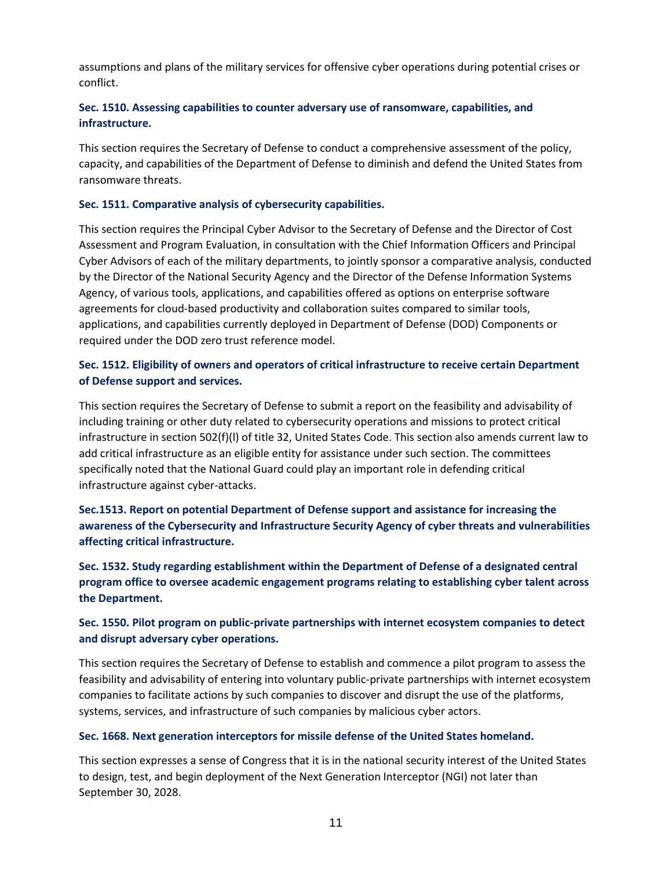assumptions and plans of the military services for offensive cyber operations during potential crises or conflict.

## **Sec. 1510. Assessing capabilities to counter adversary use of ransomware, capabilities, and infrastructure.**

This section requires the Secretary of Defense to conduct a comprehensive assessment of the policy, capacity, and capabilities of the Department of Defense to diminish and defend the United States from ransomware threats.

#### **Sec. 1511. Comparative analysis of cybersecurity capabilities.**

This section requires the Principal Cyber Advisor to the Secretary of Defense and the Director of Cost Assessment and Program Evaluation, in consultation with the Chief Information Officers and Principal Cyber Advisors of each of the military departments, to jointly sponsor a comparative analysis, conducted by the Director of the National Security Agency and the Director of the Defense Information Systems Agency, of various tools, applications, and capabilities offered as options on enterprise software agreements for cloud-based productivity and collaboration suites compared to similar tools, applications, and capabilities currently deployed in Department of Defense (DOD) Components or required under the DOD zero trust reference model.

## **Sec. 1512. Eligibility of owners and operators of critical infrastructure to receive certain Department of Defense support and services.**

This section requires the Secretary of Defense to submit a report on the feasibility and advisability of including training or other duty related to cybersecurity operations and missions to protect critical infrastructure in section 502(f)(l) of title 32, United States Code. This section also amends current law to add critical infrastructure as an eligible entity for assistance under such section. The committees specifically noted that the National Guard could play an important role in defending critical infrastructure against cyber-attacks.

**Sec.1513. Report on potential Department of Defense support and assistance for increasing the awareness of the Cybersecurity and Infrastructure Security Agency of cyber threats and vulnerabilities affecting critical infrastructure.**

**Sec. 1532. Study regarding establishment within the Department of Defense of a designated central program office to oversee academic engagement programs relating to establishing cyber talent across the Department.**

## **Sec. 1550. Pilot program on public-private partnerships with internet ecosystem companies to detect and disrupt adversary cyber operations.**

This section requires the Secretary of Defense to establish and commence a pilot program to assess the feasibility and advisability of entering into voluntary public-private partnerships with internet ecosystem companies to facilitate actions by such companies to discover and disrupt the use of the platforms, systems, services, and infrastructure of such companies by malicious cyber actors.

#### **Sec. 1668. Next generation interceptors for missile defense of the United States homeland.**

This section expresses a sense of Congress that it is in the national security interest of the United States to design, test, and begin deployment of the Next Generation Interceptor (NGI) not later than September 30, 2028.